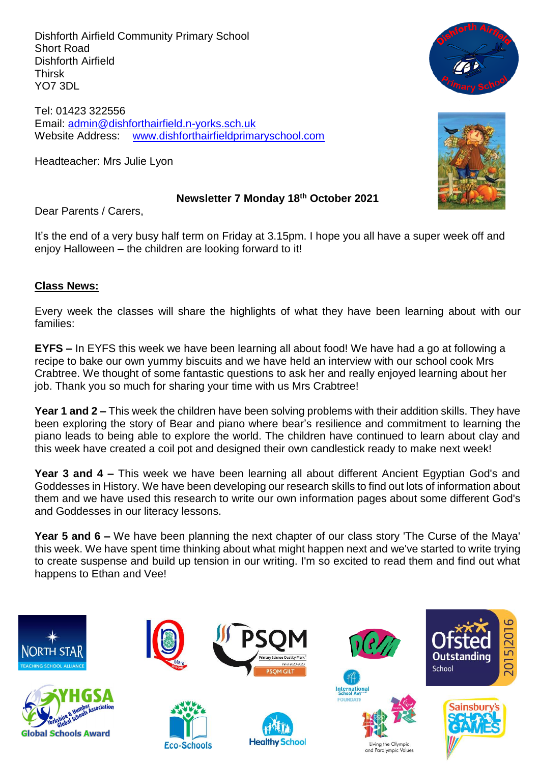Dishforth Airfield Community Primary School Short Road Dishforth Airfield Thirsk YO7 3DL

Tel: 01423 322556 Email: [admin@dishforthairfield.n-yorks.sch.uk](mailto:admin@dishforthairfield.n-yorks.sch.uk) Website Address: [www.dishforthairfieldprimaryschool.com](http://www.dishforthairfieldprimaryschool.com/)

Headteacher: Mrs Julie Lyon





#### **Newsletter 7 Monday 18 th October 2021**

Dear Parents / Carers,

It's the end of a very busy half term on Friday at 3.15pm. I hope you all have a super week off and enjoy Halloween – the children are looking forward to it!

# **Class News:**

Every week the classes will share the highlights of what they have been learning about with our families:

**EYFS –** In EYFS this week we have been learning all about food! We have had a go at following a recipe to bake our own yummy biscuits and we have held an interview with our school cook Mrs Crabtree. We thought of some fantastic questions to ask her and really enjoyed learning about her job. Thank you so much for sharing your time with us Mrs Crabtree!

**Year 1 and 2 –** This week the children have been solving problems with their addition skills. They have been exploring the story of Bear and piano where bear's resilience and commitment to learning the piano leads to being able to explore the world. The children have continued to learn about clay and this week have created a coil pot and designed their own candlestick ready to make next week!

**Year 3 and 4 –** This week we have been learning all about different Ancient Egyptian God's and Goddesses in History. We have been developing our research skills to find out lots of information about them and we have used this research to write our own information pages about some different God's and Goddesses in our literacy lessons.

**Year 5 and 6 –** We have been planning the next chapter of our class story 'The Curse of the Maya' this week. We have spent time thinking about what might happen next and we've started to write trying to create suspense and build up tension in our writing. I'm so excited to read them and find out what happens to Ethan and Vee!

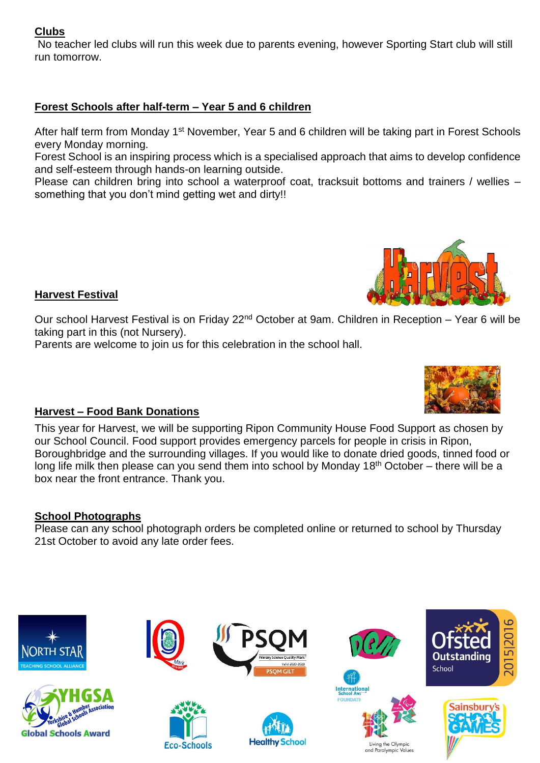# **Clubs**

No teacher led clubs will run this week due to parents evening, however Sporting Start club will still run tomorrow.

# **Forest Schools after half-term – Year 5 and 6 children**

After half term from Monday 1<sup>st</sup> November, Year 5 and 6 children will be taking part in Forest Schools every Monday morning.

Forest School is an inspiring process which is a specialised approach that aims to develop confidence and self-esteem through hands-on learning outside.

Please can children bring into school a waterproof coat, tracksuit bottoms and trainers / wellies – something that you don't mind getting wet and dirty!!



Parents are welcome to join us for this celebration in the school hall.



This year for Harvest, we will be supporting Ripon Community House Food Support as chosen by our School Council. Food support provides emergency parcels for people in crisis in Ripon, Boroughbridge and the surrounding villages. If you would like to donate dried goods, tinned food or long life milk then please can you send them into school by Monday 18<sup>th</sup> October – there will be a box near the front entrance. Thank you.

# **School Photographs**

**Harvest Festival**

Please can any school photograph orders be completed online or returned to school by Thursday 21st October to avoid any late order fees.





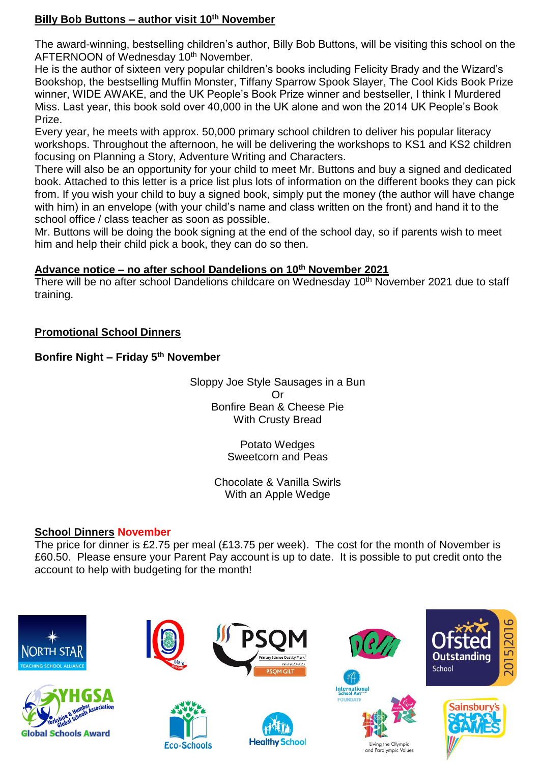# **Billy Bob Buttons – author visit 10th November**

The award-winning, bestselling children's author, Billy Bob Buttons, will be visiting this school on the AFTERNOON of Wednesday 10<sup>th</sup> November.

He is the author of sixteen very popular children's books including Felicity Brady and the Wizard's Bookshop, the bestselling Muffin Monster, Tiffany Sparrow Spook Slayer, The Cool Kids Book Prize winner, WIDE AWAKE, and the UK People's Book Prize winner and bestseller, I think I Murdered Miss. Last year, this book sold over 40,000 in the UK alone and won the 2014 UK People's Book Prize.

Every year, he meets with approx. 50,000 primary school children to deliver his popular literacy workshops. Throughout the afternoon, he will be delivering the workshops to KS1 and KS2 children focusing on Planning a Story, Adventure Writing and Characters.

There will also be an opportunity for your child to meet Mr. Buttons and buy a signed and dedicated book. Attached to this letter is a price list plus lots of information on the different books they can pick from. If you wish your child to buy a signed book, simply put the money (the author will have change with him) in an envelope (with your child's name and class written on the front) and hand it to the school office / class teacher as soon as possible.

Mr. Buttons will be doing the book signing at the end of the school day, so if parents wish to meet him and help their child pick a book, they can do so then.

# **Advance notice – no after school Dandelions on 10 th November 2021**

There will be no after school Dandelions childcare on Wednesday 10<sup>th</sup> November 2021 due to staff training.

# **Promotional School Dinners**

# **Bonfire Night – Friday 5th November**

Sloppy Joe Style Sausages in a Bun Or Bonfire Bean & Cheese Pie With Crusty Bread

> Potato Wedges Sweetcorn and Peas

Chocolate & Vanilla Swirls With an Apple Wedge

# **School Dinners November**

The price for dinner is £2.75 per meal (£13.75 per week). The cost for the month of November is £60.50. Please ensure your Parent Pay account is up to date. It is possible to put credit onto the account to help with budgeting for the month!

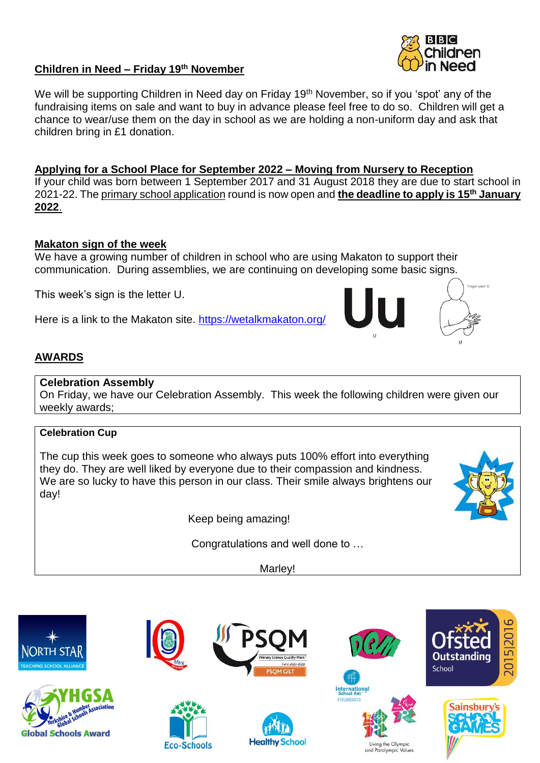# **Children in Need – Friday 19 th November**

We will be supporting Children in Need day on Friday 19<sup>th</sup> November, so if you 'spot' any of the fundraising items on sale and want to buy in advance please feel free to do so. Children will get a chance to wear/use them on the day in school as we are holding a non-uniform day and ask that children bring in £1 donation.

**Applying for a School Place for September 2022 – Moving from Nursery to Reception** If your child was born between 1 September 2017 and 31 August 2018 they are due to start school in 2021-22. Th[e primary school application](https://www.northyorks.gov.uk/applying-place-primary-school) round is now open and **the deadline to apply is 15th January 2022**.

# **Makaton sign of the week**

We have a growing number of children in school who are using Makaton to support their communication. During assemblies, we are continuing on developing some basic signs.

This week's sign is the letter U.

Here is a link to the Makaton site.<https://wetalkmakaton.org/>

# **AWARDS**

#### **Celebration Assembly**

On Friday, we have our Celebration Assembly. This week the following children were given our weekly awards;

# **Celebration Cup**

The cup this week goes to someone who always puts 100% effort into everything they do. They are well liked by everyone due to their compassion and kindness. We are so lucky to have this person in our class. Their smile always brightens our day!

Keep being amazing!

Congratulations and well done to …

Marley!









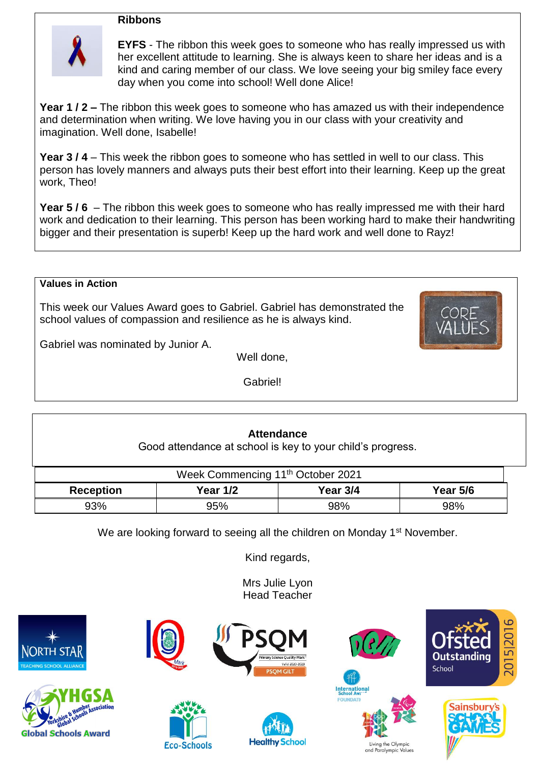#### **Ribbons**



**EYFS** - The ribbon this week goes to someone who has really impressed us with her excellent attitude to learning. She is always keen to share her ideas and is a kind and caring member of our class. We love seeing your big smiley face every day when you come into school! Well done Alice!

**Year 1 / 2 –** The ribbon this week goes to someone who has amazed us with their independence and determination when writing. We love having you in our class with your creativity and imagination. Well done, Isabelle!

**Year 3 / 4** – This week the ribbon goes to someone who has settled in well to our class. This person has lovely manners and always puts their best effort into their learning. Keep up the great work, Theo!

**Year 5 / 6** – The ribbon this week goes to someone who has really impressed me with their hard work and dedication to their learning. This person has been working hard to make their handwriting bigger and their presentation is superb! Keep up the hard work and well done to Rayz!

#### **Values in Action**

This week our Values Award goes to Gabriel. Gabriel has demonstrated the school values of compassion and resilience as he is always kind.



Gabriel was nominated by Junior A.

Well done,

Gabriel!

# **Attendance** Good attendance at school is key to your child's progress.

| Week Commencing 11 <sup>th</sup> October 2021 |            |          |          |  |  |  |
|-----------------------------------------------|------------|----------|----------|--|--|--|
| <b>Reception</b>                              | Year $1/2$ | Year 3/4 | Year 5/6 |  |  |  |
| 93%                                           | 95%        | 98%      | 98%      |  |  |  |

We are looking forward to seeing all the children on Monday 1<sup>st</sup> November.

Kind regards,

Mrs Julie Lyon Head Teacher







**Eco-Schools** 







an the Olympi and Paralympic